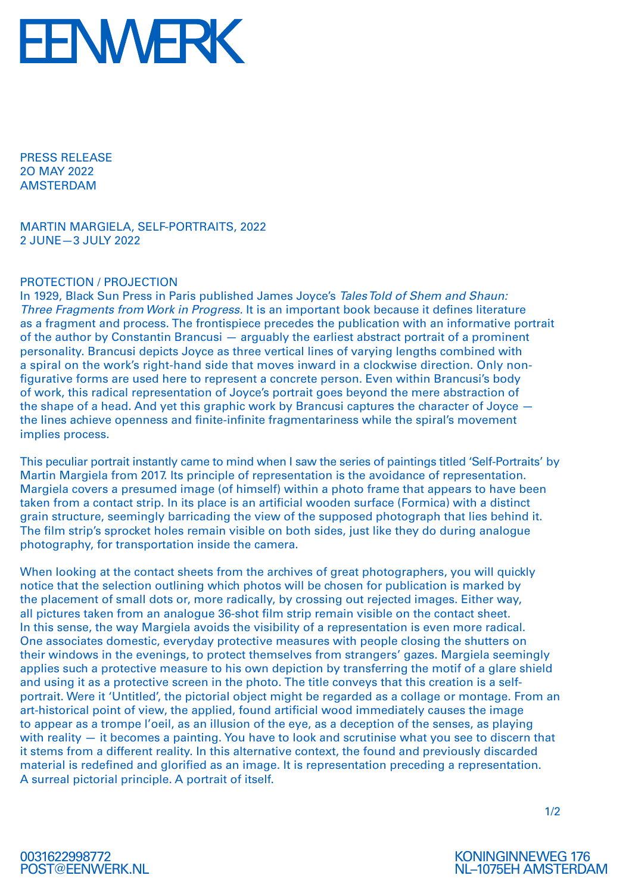

PRESS RELEASE 2O MAY 2022 AMSTERDAM

MARTIN MARGIELA, SELF-PORTRAITS, 2022 2 JUNE—3 JULY 2022

## PROTECTION / PROJECTION

In 1929, Black Sun Press in Paris published James Joyce's *Tales Told of Shem and Shaun: Three Fragments from Work in Progress.* It is an important book because it defines literature as a fragment and process. The frontispiece precedes the publication with an informative portrait of the author by Constantin Brancusi — arguably the earliest abstract portrait of a prominent personality. Brancusi depicts Joyce as three vertical lines of varying lengths combined with a spiral on the work's right-hand side that moves inward in a clockwise direction. Only nonfigurative forms are used here to represent a concrete person. Even within Brancusi's body of work, this radical representation of Joyce's portrait goes beyond the mere abstraction of the shape of a head. And yet this graphic work by Brancusi captures the character of Joyce the lines achieve openness and finite-infinite fragmentariness while the spiral's movement implies process.

This peculiar portrait instantly came to mind when I saw the series of paintings titled 'Self-Portraits' by Martin Margiela from 2017. Its principle of representation is the avoidance of representation. Margiela covers a presumed image (of himself) within a photo frame that appears to have been taken from a contact strip. In its place is an artificial wooden surface (Formica) with a distinct grain structure, seemingly barricading the view of the supposed photograph that lies behind it. The film strip's sprocket holes remain visible on both sides, just like they do during analogue photography, for transportation inside the camera.

When looking at the contact sheets from the archives of great photographers, you will quickly notice that the selection outlining which photos will be chosen for publication is marked by the placement of small dots or, more radically, by crossing out rejected images. Either way, all pictures taken from an analogue 36-shot film strip remain visible on the contact sheet. In this sense, the way Margiela avoids the visibility of a representation is even more radical. One associates domestic, everyday protective measures with people closing the shutters on their windows in the evenings, to protect themselves from strangers' gazes. Margiela seemingly applies such a protective measure to his own depiction by transferring the motif of a glare shield and using it as a protective screen in the photo. The title conveys that this creation is a selfportrait. Were it 'Untitled', the pictorial object might be regarded as a collage or montage. From an art-historical point of view, the applied, found artificial wood immediately causes the image to appear as a trompe l'oeil, as an illusion of the eye, as a deception of the senses, as playing with reality – it becomes a painting. You have to look and scrutinise what you see to discern that it stems from a different reality. In this alternative context, the found and previously discarded material is redefined and glorified as an image. It is representation preceding a representation. A surreal pictorial principle. A portrait of itself.

1/2



KONINGINNEWEG 176 NL–1075EH AMSTERDAM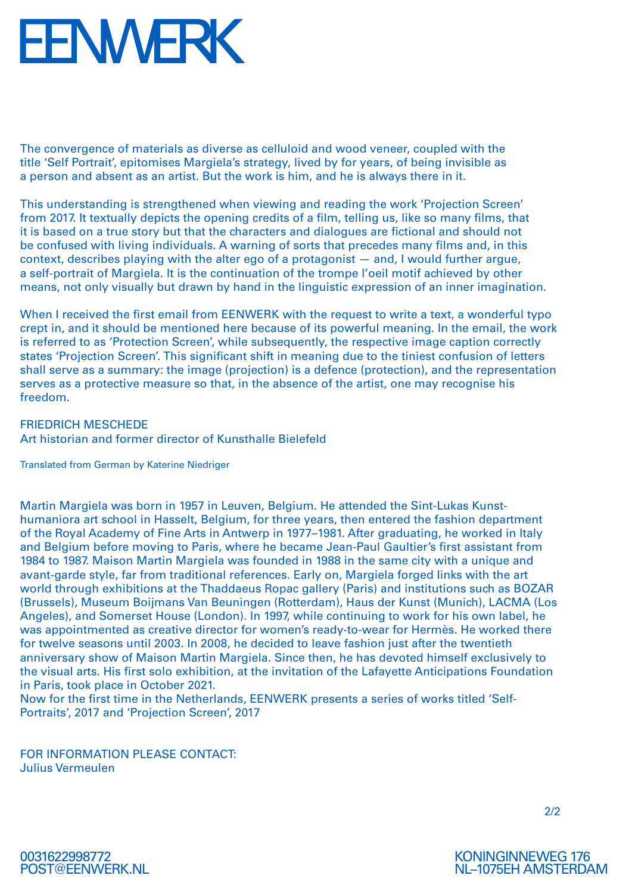## **FENWERK**

The convergence of materials as diverse as celluloid and wood veneer, coupled with the title 'Self Portrait', epitomises Margiela's strategy, lived by for years, of being invisible as a person and absent as an artist. But the work is him, and he is always there in it.

This understanding is strengthened when viewing and reading the work 'Projection Screen' from 2017. It textually depicts the opening credits of a film, telling us, like so many films, that it is based on a true story but that the characters and dialogues are fictional and should not be confused with living individuals. A warning of sorts that precedes many films and, in this context, describes playing with the alter ego of a protagonist — and, I would further argue, a self-portrait of Margiela. It is the continuation of the trompe l'oeil motif achieved by other means, not only visually but drawn by hand in the linguistic expression of an inner imagination.

When I received the first email from EENWERK with the request to write a text, a wonderful typo crept in, and it should be mentioned here because of its powerful meaning. In the email, the work is referred to as 'Protection Screen', while subsequently, the respective image caption correctly states 'Projection Screen'. This significant shift in meaning due to the tiniest confusion of letters shall serve as a summary: the image (projection) is a defence (protection), and the representation serves as a protective measure so that, in the absence of the artist, one may recognise his freedom.

FRIEDRICH MESCHEDE Art historian and former director of Kunsthalle Bielefeld

Translated from German by Katerine Niedriger

Martin Margiela was born in 1957 in Leuven, Belgium. He attended the Sint-Lukas Kunsthumaniora art school in Hasselt, Belgium, for three years, then entered the fashion department of the Royal Academy of Fine Arts in Antwerp in 1977–1981. After graduating, he worked in Italy and Belgium before moving to Paris, where he became Jean-Paul Gaultier's first assistant from 1984 to 1987. Maison Martin Margiela was founded in 1988 in the same city with a unique and avant-garde style, far from traditional references. Early on, Margiela forged links with the art world through exhibitions at the Thaddaeus Ropac gallery (Paris) and institutions such as BOZAR (Brussels), Museum Boijmans Van Beuningen (Rotterdam), Haus der Kunst (Munich), LACMA (Los Angeles), and Somerset House (London). In 1997, while continuing to work for his own label, he was appointmented as creative director for women's ready-to-wear for Hermès. He worked there for twelve seasons until 2003. In 2008, he decided to leave fashion just after the twentieth anniversary show of Maison Martin Margiela. Since then, he has devoted himself exclusively to the visual arts. His first solo exhibition, at the invitation of the Lafayette Anticipations Foundation in Paris, took place in October 2021.

Now for the first time in the Netherlands, EENWERK presents a series of works titled 'Self-Portraits', 2017 and 'Projection Screen', 2017

FOR INFORMATION PLEASE CONTACT: Julius Vermeulen

2/2